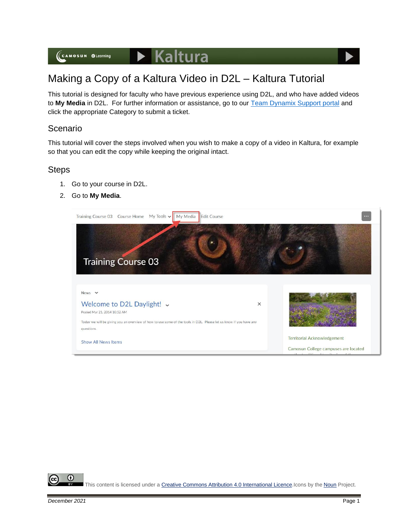

## Making a Copy of a Kaltura Video in D2L – Kaltura Tutorial

This tutorial is designed for faculty who have previous experience using D2L, and who have added videos to **My Media** in D2L. For further information or assistance, go to our [Team Dynamix Support portal](https://camosun.teamdynamix.com/TDClient/67/Portal/Requests/ServiceCatalog?CategoryID=523) and click the appropriate Category to submit a ticket.

## Scenario

This tutorial will cover the steps involved when you wish to make a copy of a video in Kaltura, for example so that you can edit the copy while keeping the original intact.

## Steps

- 1. Go to your course in D2L.
- 2. Go to **My Media**.



⋒ This content is licensed under [a Creative Commons Attribution 4.0 International Licence.I](https://creativecommons.org/licenses/by/4.0/)cons by the [Noun](https://creativecommons.org/website-icons/) Project.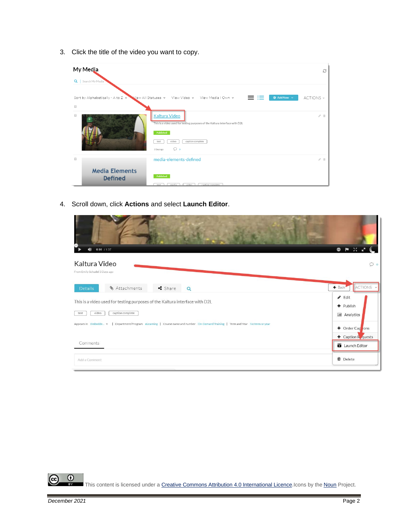3. Click the title of the video you want to copy.



4. Scroll down, click **Actions** and select **Launch Editor**.

| $\blacklozenge$<br>$0:00$ / 1:37                                                                                               | 图2012<br>$\bullet$                      |
|--------------------------------------------------------------------------------------------------------------------------------|-----------------------------------------|
| Kaltura Video<br>From Emily Schudel 3 Days ago                                                                                 | $\circ$                                 |
| $\triangleleft$ Share<br>§ Attachments<br><b>Details</b><br>$\alpha$                                                           | ACTIONS Y<br>← Back                     |
| This is a video used for testing purposes of the Kaltura interface with D2L                                                    | $\blacktriangleright$ Edit<br>+ Publish |
| caption complete<br>video<br>test                                                                                              | <b>III</b> Analytics                    |
| Appears In Embedde v   Department/Program eLearning   Course name and number On-Demand Training   Term and Year Noterm or year | + Order Cap ions                        |
| Comments                                                                                                                       | + Caption Requests<br>Launch Editor     |
| Add a Comment                                                                                                                  | <b>O</b> Delete                         |

 $\overline{0}$ This content is licensed under [a Creative Commons Attribution 4.0 International Licence.I](https://creativecommons.org/licenses/by/4.0/)cons by the [Noun](https://creativecommons.org/website-icons/) Project.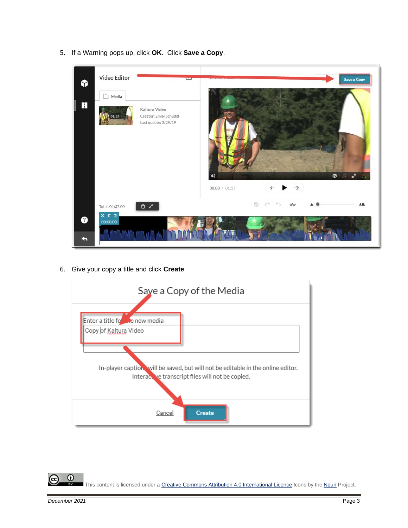5. If a Warning pops up, click **OK**. Click **Save a Copy**.



6. Give your copy a title and click **Create**.



 $\odot$ This content is licensed under [a Creative Commons Attribution 4.0 International Licence.I](https://creativecommons.org/licenses/by/4.0/)cons by the [Noun](https://creativecommons.org/website-icons/) Project.